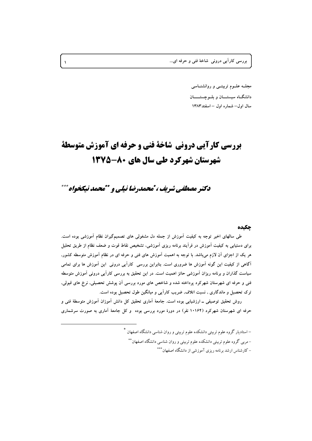بررسي کاراً يي دروني شاخهٔ فني و حرفه اي...

مجلــه علــوم تربیتــی و روانشنــاسی دانشگاه سستــان و بلـوحستـــان سال اول– شماره اول – اسفند ۱۳۸۳

## **بررسی کارآیی درونی شاخة فنی و حرفه ای آموزش متوسطة** شهرستان شهرکرد طی سال های ۸۰-۱۳۷۵

دکتر مصطفی شریف ، تمحمدرضا نیلی و \*\*محمد نیکخواه\*\*\*

## حكىده

طی سالهای اخیر توجه به کیفیت آموزش از جمله دل مشغولی های تصمیمگیران نظام آموزشی بوده است. برای دستیابی به کیفیت آموزش در فرآیند برنامه ریزی آموزشی، تشخیص نقاط قوت و ضعف نظام از طریق تحلیل هر یک از اجزای آن لازم میباشد. با توجه به اهمیت آموزش های فنی و حرفه ای در نظام آموزش متوسطه کشور, آگاهی از کیفیت این گونه آموزش ها ضروری است. بنابراین بررسی کارآیی درونی این آموزش ها برای تمامی سیاست گذاران و برنامه ریزان آموزشی حائز اهمیت است. در این تحقیق به بررسی کارآیی درونی آموزش متوسطه فنی و حرفه ای شهرستان شهرکرد پرداخته شده و شاخص های مورد بررسی آن پوشش تحصیلی, نرخ های قبولی, ترک تحصیل و ماندگاری , نسبت اتلاف, ضریب کارآیی و میانگین طول تحصیل بوده است.

روش تحقیق توصیفی ــ ارزشیابی بوده است. جامعهٔ آماری تحقیق کل دانش آموزان آموزش متوسطهٔ فنی و حرفه ای شهرستان شهرکرد (۱۰۱۶۴ نفر) در دورهٔ مورد بررسی بوده و کل جامعهٔ آماری به صورت سرشماری

> – استادیار گروه علوم تربیتی دانشکده علوم تربیتی و روان شناسی دانشگاه اصفهان \* – مربی گروه علوم تربیتی دانشکده علوم تربیتی و روان شناسی دانشگاه اصفهان\*\* – کارشناس ارشد برنامه ریزی آموزشی از دانشگاه اصفهان\*\*\*

 $\lambda$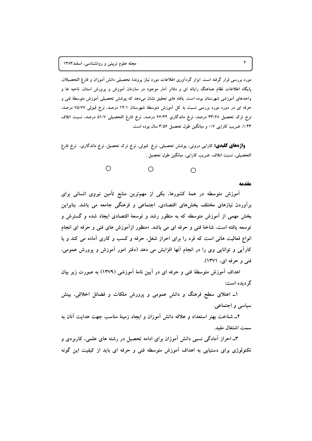مورد بررسی قرار گرفته است. ابزار گردآوری اطلاعات مورد نیاز پروندهٔ تحصیلی دانش آموزان و فارغ التحصیلان. یایگاه اطلاعات نظام هماهنگ رایانه ای و دفاتر آمار موجود در سازمان آموزش و پرورش استان، ناحیه ها و واحدهای اَموزشی شهرستان بوده است. یافته های تحقیق نشان میدهد که پوشش تحصیلی اَموزش متوسطهٔ فنی و حرفه ای در دوره مورد بررسی نسبت به کل اَموزش متوسطهٔ شهرستان ۱۴/۱ درصد، نرخ قبولی ۷۵/۷۷ درصد. نرخ ترک تحصیل ۳۳/۶۸ درصد، نرخ ماندگاری ۶۶/۳۲ درصد، نرخ فارغ التحصیلی ۵۱/۷ درصد، نسبت اتلاف ۱/۴۳، ضریب کارایی ۰/۷ و میانگین طول تحصیل ۳/۵۶ سال بوده است.

**واژههای کلیدی:** کارایی درونی، پوشش تحصیلی، نرخ قبولی، نرخ ترک تحصیل، نرخ ماندگاری، نرخ فارغ التحصيلي، نسبت اتلاف، ضريب كارايي، ميانگين طول تحصيل .



مقدمه

آموزش متوسطه در همهٔ کشورها، یکی از مهمترین منابع تأمین نیروی انسانی برای برآوردن نیازهای مختلف بخشهای اقتصادی, اجتماعی و فرهنگی جامعه می باشد. بنابراین بخش مهمی از آموزش متوسطه که به منظور رشد و توسعهٔ اقتصادی ایجاد شده و گسترش و توسعه یافته است، شاخهٔ فنی و حرفه ای می باشد. «منظور ازآموزش های فنی و حرفه ای انجام انواع فعالیت هائی است که فرد را برای احراز شغل، حرفه و کسب و کاری آماده می کند و یا کارآیی و توانایی وی را در انجام آنها افزایش می دهد (دفتر امور آموزش و پرورش عمومی، فني و حرفه اي، ١٣٧١).

اهداف آموزش متوسطهٔ فنی و حرفه ای در آیین نامهٔ آموزشی (۱۳۷۹) به صورت زیر بیان گر دیده است:

۱ــ اعتلای سطح فرهنگ و دانش عمومی و پرورش ملکات و فضائل اخلاقی، بینش سیاسی و اجتماعی.

۲ــ شناخت بهتر استعداد و علاقه دانش آموزان و ایجاد زمینهٔ مناسب جهت هدایت آنان به سمت اشتغال مفيد.

۳ـ احراز آمادگی نسبی دانش آموزان برای ادامه تحصیل در رشته های علمی، کاربردی و تکنولوژی برای دستیابی به اهداف آموزش متوسطه فنی و حرفه ای باید از کیفیت این گونه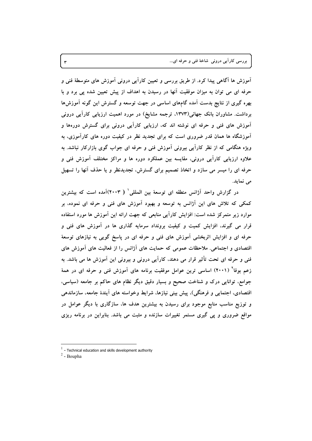بررسي کاراًيي دروني شاخهٔ فني و حرفه اي...

آموزش ها آگاهی پیدا کرد. از طریق بررسی و تعیین کارآیی درونی آموزش های متوسطهٔ فنی و حرفه ای می توان به میزان موفقیت آنها در رسیدن به اهداف از پیش تعیین شده پی برد و با بهره گیری از نتایج بدست آمده گامهای اساسی در جهت توسعه و گسترش این گونه آموزشها برداشت. مشاوران بانک جهانی(۱۳۷۳، ترجمه مشایخ) در مورد اهمیت ارزیابی کارآیی درونی آموزش های فنی و حرفه ای نوشته اند که، ارزیابی کاراًیی درونی برای گسترش دورهها و آموزشگاه ها همان قدر ضروری است که برای تجدید نظر در کیفیت دوره های کارآموزی، به ویژه هنگامی که از نظر کارآیی بیرونی آموزش فنی و حرفه ای جواب گوی بازارکار نباشد. به علاوه ارزیابی کارآیی درونی، مقایسه بین عملکرد دوره ها و مراکز مختلف آموزش فنی و حرفه ای را میسر می سازد و اتخاذ تصمیم برای گسترش، تجدیدنظر و یا حذف آنها را تسهیل می نماید.

در گزارش واحد آژانس منطقه ای توسعهٔ بین المللی ٔ ( ۲۰۰۳)آمده است که بیشترین کمکی که تلاش های این آژانس به توسعه و بهبود آموزش های فنی و حرفه ای نموده، بر موارد زیر متمرکز شده است: افزایش کارآیی منابعی که جهت ارائه این آموزش ها مورد استفاده قرار می گیرند، افزایش کمیت و کیفیت برونداد سرمایه گذاری ها در آموزش های فنی و حرفه ای و افزایش اثربخشی آموزش های فنی و حرفه ای در پاسخ گویی به نیازهای توسعهٔ اقتصادی و اجتماعی. ملاحظات عمومی که حمایت های آژانس را از فعالیت های آموزش های فنی و حرفه ای تحت تأثیر قرار می دهند، کارآیی درونی و بیرونی این آموزش ها می باشد. به زعم بوفاً (۲۰۰۱) اساسی ترین عوامل موفقیت برنامه های آموزش فنی و حرفه ای در همهٔ جوامع، توانایی درک و شناخت صحیح و بسیار دقیق دیگر نظام های حاکم بر جامعه (سیاسی، اقتصادی، اجتمایی و فرهنگی)، پیش بینی نیازها، شرایط وخواسته های آیندهٔ جامعه، سازماندهی و توزیع مناسب منابع موجود برای رسیدن به بیشترین هدف ها، سازگاری با دیگر عوامل در مواقع ضروری و پی گیری مستمر تغییرات سازنده و مثبت می باشد. بنابراین در برنامه ریزی

 $^{-1}$  - Technical education and skills development authority

 $2$  - Boupha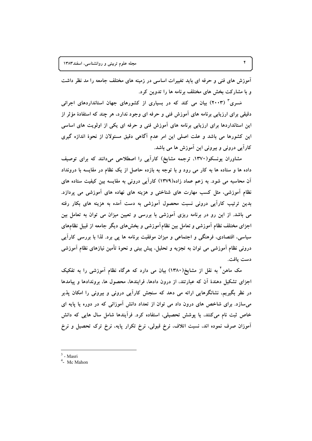آموزش های فنی و حرفه ای باید تغییرات اساسی در زمینه های مختلف جامعه را مد نظر داشت و با مشارکت بخش های مختلف برنامه ها را تدوین کرد.

مَسری<sup>۳</sup> (۲۰۰۳) بیان می کند که در بسیاری از کشورهای جهان استانداردهای اجرائی دقیقی برای ارزیابی برنامه های آموزش فنی و حرفه ای وجود ندارد، هر چند که استفادهٔ مؤثر از این استانداردها برای ارزیابی برنامه های اَموزش فنی و حرفه ای یکی از اولویت های اساسی این کشورها می باشد و علت اصلی این امر عدم آگاهی دقیق مسئولان از نحوهٔ اندازه گیری کارآیی درونی و بیرونی این آموزش ها می باشد.

مشاوران پونسکو(۱۳۷۰، ترجمه مشایخ) کارآیی را اصطلاحی میدانند که برای توصیف داده ها و ستاده ها به کار می رود و با توجه به بازده حاصل از یک نظام در مقایسه با درونداد آن محاسبه می شود. به زعم عماد زاده(۱۳۷۹) کارآیی درونی به مقایسه بین کیفیت ستاده های نظام آموزشی، مثل کسب مهارت های شناختی و هزینه های نهاده های آموزشی می پردازد. بدین ترتیب کارایی درونی نسبت محصول آموزشی به دست آمده به هزینه های بکار رفته می باشد. از این رو در برنامه ریزی آموزشی با بررسی و تعیین میزان می توان به تعامل بین اجزای مختلف نظام آموزشی و تعامل بین نظام آموزشی و بخشهای دیگر جامعه از قبیل نظامهای سیاسی، اقتصادی، فرهنگی و اجتماعی و میزان موفقیت برنامه ها پی برد. لذا با بررسی کاراً یی درونی نظام اَموزشی می توان به تجزیه و تحلیل، پیش بینی و نحوهٔ تأمین نیازهای نظام اَموزشی دست يافت.

مک ماهن ٔ به نقل از مشایخ(۱۳۸۰) بیان می دارد که هرگاه نظام اَموزشی را به تفکیک اجزای تشکیل دهندهٔ اَن که عبارتند، از درون دادها، فرایندها، محصول ها، بروندادها و پیامدها در نظر بگیریم، نشانگرهایی ارائه می دهد که سنجش کارآیی درونی و بیرونی را امکان پذیر میسازد. برای شاخص های درون داد می توان از تعداد دانش آموزانی که در دوره یا پایه ای خاص ثبت نام می کنند، یا پوشش تحصیلی، استفاده کرد. فرآیندها شامل سال هایی که دانش آموزان صرف نموده اند، نسبت اتلاف، نرخ قبولی، نرخ تکرار پایه، نرخ ترک تحصیل و نرخ

 $3$  - Masri

 $4$ - Mc Mahon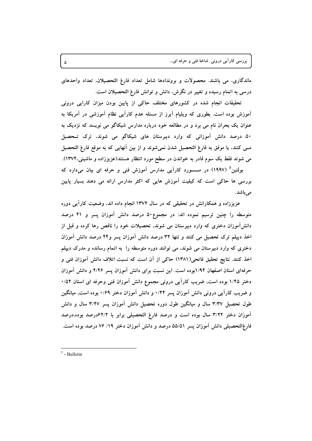ماندگاری، می باشند. محصولات و بروندادها شامل تعداد فارغ التحصیلان، تعداد واحدهای درسی به اتمام رسیده و تغییر در نگرش، دانش و توانش فارغ التحصیلان است.

تحقیقات انجام شده در کشورهای مختلف حاکی از پایین بودن میزان کارایی درونی آموزش بوده است. بطوری که ویلیام آیرز از مسئله عدم کارآیی نظام آموزشی در آمریکا به عنوان یک بحران نام می برد و در مطالعه خود درباره مدارس شیکاگو می نویسد که نزدیک به ۵۰ درصد دانش آموزانی که وارد دبیرستان های شیکاگو می شوند، ترک تــحصیل مــي كنند، يا موفق به فارغ التحصيل شدن نمي شوند و از بين آنهايي كه به موقع فارغ التحصيل می شوند فقط یک سوم قادر به خواندن در سطح مورد انتظار هستند(عزیززاده و ماشینی،۱۳۷۴).

بولتین<sup>۵</sup> (۱۹۹۷) در مـــــورد کاراَیی مدارس اَموزش فنی و حرفه ای بیان میدارد که بررسی ها حاکی است که کیفیت آموزش هایی که اکثر مدارس ارائه می دهند بسیار پایین مے باشد.

عزیززاده و همکارانش در تحقیقی که در سال ۱۳۷۲ انجام داده اند، وضعیت کارآیی دوره متوسطه را چنین ترسیم نموده اند: در مجموع۵۰ درصد دانش آموزان پسر و ۴۱ درصد دانشآموزان دختری که وارد دبیرستان می شوند، تحصیلات خود را ناقص رها کرده و قبل از اخذ دیپلم ترک تحصیل می کنند و تنها ۳۲ درصد دانش آموزان پسر و۴۴ درصد دانش آموزان دختری که وارد دبیرستان می شوند، می توانند دوره متوسطه را به اتمام رسانده و مدرک دیپلم اخذ کنند. نتایج تحقیق فاتحی(۱۳۸۱) حاکمی از آن است که نسبت اتلاف دانش آموزان فنی و حرفهای استان اصفهان ۱٬۹۴بوده است. این نسبت برای دانش آموزان پسر ۲٬۲۶ و دانش آموزان دختر ۱/۴۵ بوده است, ضریب کاراًیی درونی مجموع دانش اَموزان فنی وحرفه ای استان ۰/۵۲ و ضریب کارآیی درونی دانش آموزان پسر ۰/۴۴ و دانش آموزان دختر ۰/۶۹ بوده است, میانگین طول تحصیل ۳/۳۷ سال و میانگین طول دوره تحصیل دانش آموزان پسر ۳/۴۷ سال و دانش آموزان دختر ۳/۲۲ سال بوده است و درصد فارغ التحصیلی برابر با ۶۲/۲درصد بوده،درصد فارغ|لتحصیلی دانش آموزان پسر ۵۵/۵۱ درصد و دانش آموزان دختر ۱۹/ ۷۶ درصد بوده است.

 $5$  - Bulletin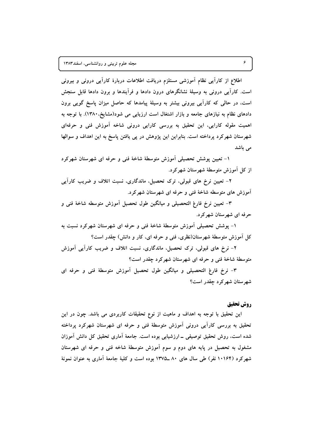اطلاع از کاراً یی نظام آموزشی مستلزم دریافت اطلاعات دربارهٔ کاراً یی درونی و بیرونی است. کارآیی درونی به وسیلهٔ نشانگرهای درون دادها و فرآیندها و برون دادها قابل سنجش است، در حالي كه كارآيي بيروني بيشتر به وسيلهٔ پيامدها كه حاصل ميزان ياسخ گويي برون دادهای نظام به نیازهای جامعه و بازار اشتغال است ارزیابی می شود(مشایخ،۱۳۸۰). با توجه به اهمیت مقوله کارایی، این تحقیق به بررسی کارایی درونی شاخه آموزش فنی و حرفهای شهرستان شهرکرد پرداخته است. بنابراین این پژوهش در پی یافتن پاسخ به این اهداف و سوالها می باشد

۱- تعیین پوشش تحصیلی آموزش متوسطهٔ شاخهٔ فنی و حرفه ای شهرستان شهرکرد از کل آموزش متوسطهٔ شهرستان شهرکرد.

۲- تعیین نرخ های قبولی، ترک تحصیل، ماندگاری، نسبت اتلاف و ضریب کاراَیی آموزش های متوسطه شاخهٔ فنی و حرفه ای شهرستان شهرکرد.

٣- تعيين نرخ فارغ التحصيلي و ميانگين طول تحصيل أموزش متوسطه شاخهٔ فني و حرفه ای شهرستان شهر کرد.

۱- پوشش تحصیلی آموزش متوسطهٔ شاخهٔ فنی و حرفه ای شهرستان شهرکرد نسبت به کل آموزش متوسطهٔ شهرستان(نظری، فنی و حرفه ای، کار و دانش) چقدر است؟

۲– نرخ های قبولی، ترک تحصیل، ماندگاری، نسبت اتلاف و ضریب کاراًیی اَموزش متوسطهٔ شاخهٔ فنی و حرفه ای شهرستان شهرکرد چقدر است؟

٣- نرخ فارغ التحصيلي و ميانگين طول تحصيل أموزش متوسطهٔ فني و حرفه اي شهر ستان شهر کر د چقدر است؟

## روش تحقيق

این تحقیق با توجه به اهداف و ماهیت از نوع تحقیقات کاربردی می باشد. چون در این تحقیق به بررسی کاراًیی درونی اَموزش متوسطهٔ فنی و حرفه ای شهرستان شهرکرد پرداخته شده است، روش تحقیق توصیفی ــ ارزشیابی بوده است. جامعهٔ اَماری تحقیق کل دانش اَموزان مشغول به تحصیل در پایه های دوم و سوم آموزش متوسطهٔ شاخه فنی و حرفه ای شهرستان شهرکرد (۱۰۱۶۴ نفر) طی سال های ۸۰ ـ۱۳۷۵ بوده است و کلیهٔ جامعهٔ آماری به عنوان نمونهٔ

۶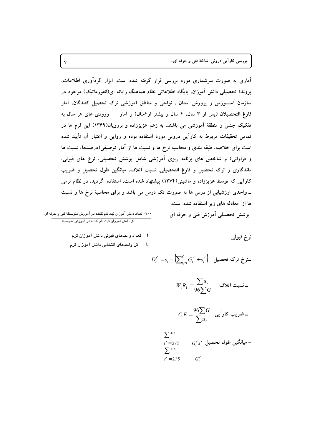بررسی کاراً یی درونی شاخهٔ فنی و حرفه ای...

آماری به صورت سرشماری مورد بررسی قرار گرفته شده است. ابزار گردآوری اطلاعات, پروندهٔ تحصیلی دانش اَموزان, پایگاه اطلاعاتی نظام هماهنگ رایانه ای(انفورماتیک) موجود در سازمان آمــوزش و پرورش استان ، نواحی و مناطق آموزشی ترک تحصیل کنندگان، آمار فارغ التحصیلان (پس از ۳ سال، ۴ سال و بیشتر از۴سال) و آمار در ورودی های هر سال به تفکیک جنس و منطقهٔ آموزشی می باشند. به زعم عزیززاده و برزویان(۱۳۶۹) این فرم ها در تمامی تحقیقات مربوط به کارآیی درونی مورد استفاده بوده و روایی و اعتبار آن تأیید شده است.برای خلاصه, طبقه بندی و محاسبه نرخ ها و نسبت ها از آمار توصیفی(درصدها، نسبت ها و فراوانی) و شاخص های برنامه ریزی آموزشی شامل پوشش تحصیلی، نرخ های قبولی، ماندگاری و ترک تحصیل و فارغ التحصیلی، نسبت اتلاف, میانگین طول تحصیل و ضریب کارآیی که توسط عزیززاده و ماشینی(۱۳۷۴) پیشنهاد شده است، استفاده گردید. در نظام ترمی ــ واحدی ارزشیابی از درس ها به صورت تک درس می باشد و برای محاسبهٔ نرخ ها و نسبت ها از معادله های زیر استفاده شده است. يوشش تحصيلي أموزش فني و حرفه اي

۰۰۰× تعداد دانش آموزان ثبت نام کننده در آموزش متوسطهٔ فنی و حرفه ای کل دانش آموزان ثبت نام کننده در آموزش متوسطه

نرخ قبولي

$$
D_t^{t'} = s_t - \sum_{t_1 = t}^{t'} G_t^{t'} + s_t^{t'} \Big)
$$

$$
W_{1}R_{1} = \frac{\sum u_{s}}{96\sum G} \qquad \text{with} \qquad
$$

$$
C.E = \frac{96\sum G}{\sum u_s}
$$

$$
\sum_{t'=2/5}^{4/5} G_t^{t'} t' \underbrace{G_t^{t'} t'}_{t'=2/5} \underbrace{G_t^{t'}} G_t^{t'}
$$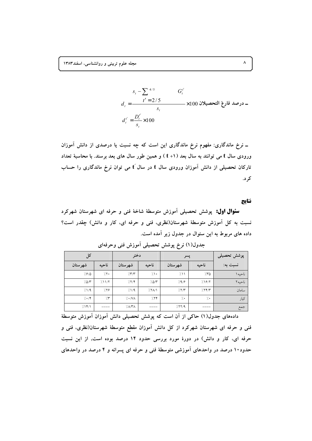$$
s_{t} - \sum_{t'} \frac{4/5}{t'} = \frac{t' = 2/5}{s_{t}} \times 100 \times 100 \text{ if } t' = \frac{D_{t}^{t'}}{s_{t}} \times 100
$$

ــ نرخ ماندگاری: مفهوم نرخ ماندگاری این است که چه نسبت یا درصدی از دانش آموزان ورودی سال t می توانند به سال بعد (۱+ t ) و همین طور سال های بعد برسند. با محاسبهٔ تعداد تارکان تحصیلی از دانش آموزان ورودی سال t در سال t می توان نرخ ماندگاری را حساب کر د.

نتايج

**سئوال اول:** پوشش تحصیلی اَموزش متوسطهٔ شاخهٔ فنی و حرفه ای شهرستان شهرکرد نسبت به کل آموزش متوسطهٔ شهرستان(نظری، فنی و حرفه ای، کار و دانش) چقدر است؟ داده های مربوط به این سئوال در جدول زیر آمده است.

| کل            |          | دختر                     |               | پسر        | پوشش تحصیلی |          |
|---------------|----------|--------------------------|---------------|------------|-------------|----------|
| شهرستان       | ناحيه    | شهرستان                  | ناحيه         | شهر ستان   | ناحيه       | نسبت به: |
| 7.9/0         | 7.7.     | $/$ $\gamma$             | $7 \cdot$     | 711        | 7.50        | ناحيه ۱  |
| 7.0/T         | /11/7    | /17                      | $10^{\prime}$ | /9/9       | 197         | ناحيه٢   |
| /1/9          | 7.19     | 1/1/9                    | $/Y\Lambda/1$ | /7/        | /77/        | سامان    |
| $/ \cdot / 1$ | $\gamma$ | $/$ $\cdot$ / $\sqrt{2}$ | 7.77          | $\gamma$ . | $\gamma$ .  | کیار     |
| 711/1         |          | $/\Lambda$ /۳ $\Lambda$  |               | /11/9      |             | جمع      |

جدول(۱) نرخ پوشش تحصیلی آموزش فنی وحرفهای

دادههای جدول(۱) حاکی از اَن است که پوشش تحصیلی دانش اَموزان اَموزش متوسطهٔ فنی و حرفه ای شهرستان شهرکرد از کل دانش آموزان مقطع متوسطهٔ شهرستان(نظری، فنی و حرفه ای، کار و دانش) در دورهٔ مورد بررسی حدود ۱۴ درصد بوده است, از این نسبت حدود ۱۰ درصد در واحدهای آموزشی متوسطهٔ فنی و حرفه ای پسرانه و ۴ درصد در واحدهای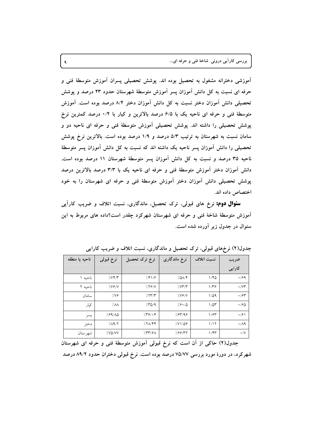بررسی کاراً یی درونی شاخهٔ فنی و حرفه ای...

آموزشی دخترانه مشغول به تحصیل بوده اند. یوشش تحصیلی پسران آموزش متوسطهٔ فنی و حرفه ای نسبت به کل دانش آموزان پسر آموزش متوسطهٔ شهرستان حدود ۲۳ درصد و پوشش تحصیلی دانش آموزان دختر نسبت به کل دانش آموزان دختر ۸/۴ درصد بوده است. آموزش متوسطهٔ فنی و حرفه ای ناحیه یک با ۶/۵ درصد بالاترین و کیار با ۰/۴ درصد کمترین نرخ پوشش تحصیلی را داشته اند. پوشش تحصیلی آموزش متوسطهٔ فنی و حرفه ای ناحیه دو و سامان نسبت به شهرستان به ترتیب ۵/۳ درصد و ۱/۹ درصد بوده است. بالاترین نرخ پوشش تحصیلی را دانش آموزان پسر ناحیه یک داشته اند که نسبت به کل دانش آموزان پسر متوسطهٔ ناحیه ۳۵ درصد و نسبت به کل دانش آموزان پسر متوسطهٔ شهرستان ۱۱ درصد بوده است. دانش آموزان دختر آموزش متوسطهٔ فنی و حرفه ای ناحیه یک با ۳/۳ درصد بالاترین درصد پوشش تحصیلی دانش آموزان دختر آموزش متوسطهٔ فنی و حرفه ای شهرستان را به خود اختصاص داده اند.

**سئوال دوم:** نرخ های قبولی، ترک تحصیل، ماندگاری، نسبت اتلاف و ضریب کارآیی آموزش متوسطهٔ شاخهٔ فنی و حرفه ای شهرستان شهرکرد چقدر است؟داده های مربوط به این سئوال در جدول زير آورده شده است.

| ناحيه يا منطقه | نرخ قبولى | نرخ ترک تحصیل | نرخ ماندگاری   | نسبت اتلاف       | ضريب                 |
|----------------|-----------|---------------|----------------|------------------|----------------------|
|                |           |               |                |                  | کارایی               |
| ناحیه ۱        | 7.55      | 7.81/9        | 7.01           | 1/80             | .799                 |
| ناحبه ۲        | 7.197/    | 7.59N         | 7.077          | $1/\tilde{r}$    | $\cdot$ / $\vee\tau$ |
| سامان          | ۷۶⁄∵      | 7577          | 7.197/         | $1/\Delta$ 9     | $\cdot$ /۶۳          |
| كيار           | '/.a      | 750/9         | $7.9 \cdot 10$ | $1/\Delta r$     | $\cdot$ /90          |
| پسر            | 7.99/10   | 759.8         | 7.۶۳/۹۶        | 1/5r             | $\cdot$ /۶۱          |
| دختر           | 7.19/7    | 7717          | 7.V1708        | 1/17             | $\cdot/\Lambda$ 9    |
| شهرستان        | V.VO/VV   | 757/8A        | 7.99/77        | $1/\mathfrak{r}$ | $\cdot/\vee$         |

جدول(۲) نرخهای قبولی، ترک تحصیل و ماندگاری، نسبت اتلاف و ضریب کارایی

جدول(۲) حاکی از آن است که نرخ قبولی آموزش متوسطهٔ فنی و حرفه ای شهرستان شهر کرد، در دورهٔ مورد بررسی ۷۵/۷۷ درصد بوده است. نرخ قبولی دختران حدود ۸۹/۲ درصد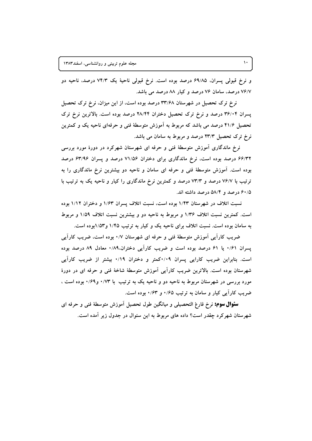و نرخ قبولي پسران. ۶۹/۸۵ درصد بوده است. نرخ قبولي ناحيهٔ يک ۷۴/۳ درصد. ناحيه دو ۷۶/۷ درصد، سامان ۷۶ درصد و کیار ۸۸ درصد می باشد.

نرخ ترک تحصیل در شهرستان ۳۳/۶۸ درصد بوده است، از این میزان، نرخ ترک تحصیل پسران ۳۶/۰۴ درصد و نرخ ترک تحصیل دختران ۲۸/۴۴ درصد بوده است. بالاترین نرخ ترک تحصیل ۴۱/۶ درصد می باشد که مربوط به اَموزش متوسطهٔ فنی و حرفهای ناحیه یک و کمترین نرخ ترک تحصیل ۲۳/۳ درصد و مربوط به سامان می باشد.

نرخ ماندگاری آموزش متوسطهٔ فنی و حرفه ای شهرستان شهرکرد در دورهٔ مورد بررسی ۶۶/۳۲ درصد بوده است، نرخ ماندگاری برای دختران ۷۱/۵۶ درصد و پسران ۶۳/۹۶ درصد بوده است. آموزش متوسطهٔ فنی و حرفه ای سامان و ناحیه دو بیشترین نرخ ماندگاری را به ترتیب با ۷۶/۷ درصد و ۷۳/۳ درصد و کمترین نرخ ماندگاری را کیار و ناحیه یک به ترتیب با ۶۰/۵ درصد و ۵۸/۴ درصد داشته اند.

نسبت اتلاف در شهرستان ۱/۴۳ بوده است، نسبت اتلاف پسران ۱/۶۳ و دختران ۱/۱۲ بوده است. کمترین نسبت اتلاف ۱/۳۶ و مربوط به ناحیه دو و بیشترین نسبت اتلاف ۱/۵۹ و مربوط به سامان بوده است. نسبت اتلاف برای ناحیه یک و کیار به ترتیب ۱/۴۵ و۱/۵۳بوده است.

ضریب کارآیی اَموزش متوسطهٔ فنی و حرفه ای شهرستان ۰/۷ بوده است، ضریب کاراَیی پسران ۰/۶۱ یا ۶۱ درصد بوده است و ضریب کارآیی دختران۰/۸۹٪ معادل ۸۹ درصد بوده است. بنابراین ضریب کارایی پسران ۰/۰۹کمتر و دختران ۰/۱۹ بیشتر از ضریب کارآیی شهرستان بوده است. بالاترین ضریب کارآیی آموزش متوسطهٔ شاخهٔ فنی و حرفه ای در دورهٔ مورد بررسی در شهرستان مربوط به ناحیه دو و ناحیه یک به ترتیب ًبا ۰/۷۳ و۰/۶۹ بوده است ، ضریب کارآیی کیار و سامان به ترتیب ۰/۶۵ و ۰/۶۳ بوده است.

**سئوال سوم:** نرخ فارغ التحصيلي و ميانگين طول تحصيل أموزش متوسطهٔ فني و حرفه اي شهرستان شهرکرد چقدر است؟ داده های مربوط به این سئوال در جدول زیر آمده است.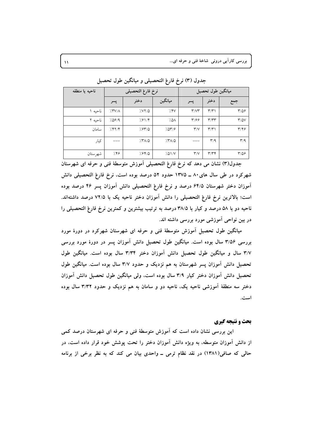بررسی کاراً یی درونی شاخهٔ فنی و حرفه ای...

| ناحيه يا منطقه | نرخ فارغ التحصيلي |                    |                    | ميانگين طول تحصيل                 |                                   |                                   |
|----------------|-------------------|--------------------|--------------------|-----------------------------------|-----------------------------------|-----------------------------------|
|                | پسر               | دختر               | ميانگين            | پسر                               | دختر                              | جمع                               |
| ناحبه ا        | $/$ YV/ $\Lambda$ | 7.577              | 7.8V               | $\mathsf{r}/\mathsf{v}\mathsf{r}$ | $\mathsf{r} / \mathsf{r}$         | $\frac{6}{2}$                     |
| ناحیه ۲        | 7.09/9            | $7.81/\mathcal{F}$ | ۵۸/                | $\mathbf{y}/\mathbf{y}$           | $\mathsf{r}/\mathsf{r}\mathsf{r}$ | $\mathsf{r}/\mathsf{a}\mathsf{v}$ |
| سامان          | 7.87/8            | 7.9770             | 7.019              | $\mathsf{r}'/\mathsf{V}$          | $\mathsf{r} / \mathsf{r}$         | $\mathbf{r}/\mathbf{v}$           |
| کیار           |                   | $/Y\Lambda/\Delta$ | $77\lambda/\Delta$ |                                   | $\mathsf{r}/\mathsf{q}$           | $\mathbf{r}/\mathbf{q}$           |
| شهرستان        | 7.59              | 7.94/0             | 701/V              | $\mathsf{r}/\mathsf{v}$           | $\mathbf{r}/\mathbf{r}$           | $\frac{9}{2}$                     |

جدول (٣) نرخ فارغ التحصيلي و ميانگين طول تحصيل

جدول(٣) نشان مي دهد كه نرخ فارغ التحصيلي أموزش متوسطة فني و حرفه اي شهرستان شهرکرد در طی سال های۸۰ ــ ۱۳۷۵ حدود ۵۲ درصد بوده است، نرخ فارغ التحصیلی دانش آموزان دختر شهرستان ۶۴/۵ درصد و نرخ فارغ التحصیلی دانش آموزان پسر ۴۶ درصد بوده است؛ بالاترین نرخ فارغ التحصیلی را دانش آموزان دختر ناحیه یک با ۷۲/۵ درصد داشتهاند. ناحیه دو با ۵۸ درصد و کیار با ۳۸/۵ درصد به ترتیب بیشترین و کمترین نرخ فارغ التحصیلی را در بین نواحی آموزشی مورد بررسی داشته اند.

میانگین طول تحصیل آموزش متوسطهٔ فنی و حرفه ای شهرستان شهرکرد در دورهٔ مورد بررسی ۳/۵۶ سال بوده است. میانگین طول تحصیل دانش آموزان پسر در دورهٔ مورد بررسی ۳/۷ سال و میانگین طول تحصیل دانش آموزان دختر ۳/۳۴ سال بوده است. میانگین طول تحصیل دانش آموزان پسر شهرستان به هم نزدیک و حدود ۳/۷ سال بوده است. میانگین طول تحصیل دانش آموزان دختر کیار ۳/۹ سال بوده است، ولی میانگین طول تحصیل دانش آموزان دختر سه منطقهٔ اَموزشی ناحیه یک، ناحیه دو و سامان به هم نزدیک و حدود ۳/۳۲ سال بوده است.

## بحث و نتیجه گیری

این بررسی نشان داده است که آموزش متوسطهٔ فنی و حرفه ای شهرستان درصد کمی از دانش آموزان متوسطه، به ویژه دانش آموزان دختر را تحت پوشش خود قرار داده است، در حالي كه صافي(١٣٨١) در نقد نظام ترمي ــ واحدى بيان مي كند كه به نظر برخي از برنامه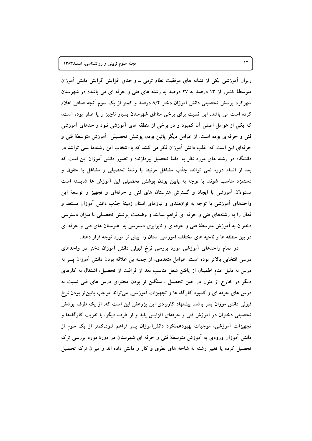ریزان اَموزشی یکی از نشانه های موفقیت نظام ترمی ــ واحدی افزایش گرایش دانش اَموزان متوسطهٔ کشور از ۱۳ درصد به ۲۷ درصد به رشته های فنی و حرفه ای می باشد؛ در شهرستان شهرکرد پوشش تحصیلی دانش آموزان دختر ۸/۴ درصد و کمتر از یک سوم آنچه صافی اعلام کرده است می باشد. این نسبت برای برخی مناطق شهرستان بسیار ناچیز و یا صفر بوده است، که یکی از عوامل اصلی آن کمبود و در برخی از منطقه های آموزشی نبود واحدهای آموزشی فنی و حرفهای بوده است. از عوامل دیگر پائین بودن پوشش تحصیلی آموزش متوسطهٔ فنی و حرفهای این است که اغلب دانش آموزان فکر می کنند که با انتخاب این رشتهها نمی توانند در دانشگاه در رشته های مورد نظر به ادامهٔ تحصیل بیردازند؛ و تصور دانش آموزان این است که بعد از اتمام دوره نمی توانند جذب مشاغل مرتبط با رشتهٔ تحصیلی و مشاغل با حقوق و دستمزد مناسب شوند. با توجه به پایین بودن پوشش تحصیلی این آموزش ها شایسته است مسئولان اَموزشی با ایجاد و گسترش هنرستان های فنی و حرفهای و تجهیز و توسعهٔ این واحدهای آموزشی با توجه به توان مندی و نیازهای استان زمینهٔ جذب دانش آموزان مستعد و فعال را به رشتههای فنی و حرفه ای فراهم نمایند و وضعیت پوشش تحصیلی یا میزان دسترسی دختران به آموزش متوسطهٔ فنی و حرفهای و نابرابری دسترسی به هنرستان های فنی و حرفه ای در بین منطقه ها و ناحیه های مختلف آموزشی استان را بیش تر مورد توجه قرار دهند.

در تمام واحدهای آموزشی مورد بررسی نرخ قبولی دانش آموزان دختر در واحدهای درسی انتخابی بالاتر بوده است. عوامل متعددی، از جمله بی علاقه بودن دانش آموزان پسر به درس به دلیل عدم اطمینان از یافتن شغل مناسب بعد از فراغت از تحصیل، اشتغال به کارهای دیگر در خارج از منزل در حین تحصیل ، سنگین تر بودن محتوای درس های فنی نسبت به درس های حرفه ای و کمبود کارگاه ها و تجهیزات آموزشی، میتواند موجب پائینتر بودن نرخ قبولی دانشآموزان پسر باشد. پیشنهاد کاربردی این پژوهش این است که، از یک طرف پوشش تحصیلی دختران در آموزش فنی و حرفهای افزایش پابد و از طرف دیگر، با تقویت کارگاهها و تجهیزات آموزشی، موجبات بهبودعملکرد دانشآموزان پسر فراهم شود.کمتر از یک سوم از دانش آموزان ورودی به آموزش متوسطهٔ فنی و حرفه ای شهرستان در دورهٔ مورد بررسی ترک تحصیل کرده یا تغییر رشته به شاخه های نظری و کار و دانش داده اند و میزان ترک تحصیل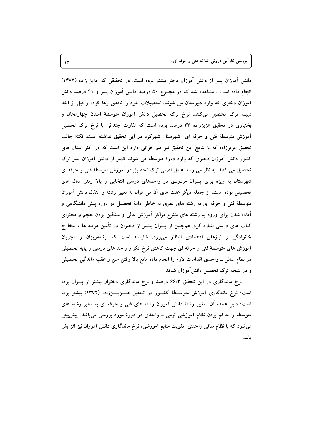بررسي کاراًيي دروني شاخهٔ فني و حرفه اي...

دانش آموزان پسر از دانش آموزان دختر بیشتر بوده است. در تحقیقی که عزیز زاده (۱۳۷۲) انجام داده است , مشاهده شد که در مجموع ۵۰ درصد دانش آموزان پسر و ۴۱ درصد دانش آموزان دختری که وارد دبیرستان می شوند، تحصیلات خود را ناقص رها کرده و قبل از اخذ دیپلم ترک تحصیل میکنند. نرخ ترک تحصیل دانش آموزان متوسطهٔ استان چهارمحال و بختیاری در تحقیق عزیززاده ۳۳ درصد بوده است که تفاوت چندانی با نرخ ترک تحصیل آموزش متوسطهٔ فنی و حرفه ای شهرستان شهرکرد در این تحقیق نداشته است. نکتهٔ جالب تحقیق عزیززاده که با نتایج این تحقیق نیز هم خوانی دارد این است که در اکثر استان های کشور دانش آموزان دختری که وارد دورهٔ متوسطه می شوند کمتر از دانش آموزان پسر ترک تحصیل می کنند. به نظر می رسد عامل اصلی ترک تحصیل در آموزش متوسطهٔ فنی و حرفه ای شهرستان به ویژه برای پسران مردودی در واحدهای درسی انتخابی و بالا رفتن سال های تحصیلی بوده است. از جمله دیگر علت های آن می توان به تغییر رشته و انتقال دانش آموزان متوسطهٔ فنی و حرفه ای به رشته های نظری به خاطر ادامهٔ تحصیل در دوره پیش دانشگاهی و آماده شدن برای ورود به رشته های متنوع مراکز آموزش عالمی و سنگین بودن حجم و محتوای کتاب های درسی اشاره کرد. همچنین از پسران بیشتر از دختران در تأمین هزینه ها و مخارج خانوادگی و نیازهای اقتصادی انتظار میرود، شایسته است که برنامهریزان و مجریان آموزش های متوسطهٔ فنی و حرفه ای جهت کاهش نرخ تکرار واحد های درسی و پایه تحصیلی در نظام سالی ــ واحدی اقدامات لازم را انجام داده مانع بالا رفتن سن و عقب ماندگی تحصیلی و در نتیجه ترک تحصیل دانشlموزان شوند.

نرخ ماندگاری در این تحقیق ۶۶/۳ درصد و نرخ ماندگاری دختران بیشتر از پسران بوده است؛ نرخ ماندگاری آموزش متوسـطهٔ کشـور در تحقیق عـــزیـــززاده (١٣٧٢) بیشتر بوده است؛ دلیل عمده آن تغییر رشتهٔ دانش آموزان رشته های فنی و حرفه ای به سایر رشته های متوسطه و حاکم بودن نظام آموزشی ترمی ــ واحدی در دورهٔ مورد بررسی میباشد. پیش بینی میشود که با نظام سالمی واحدی ً تقویت منابع اَموزشی، نرخ ماندگاری دانش اَموزان نیز افزایش يابد.

 $\mathcal{N}$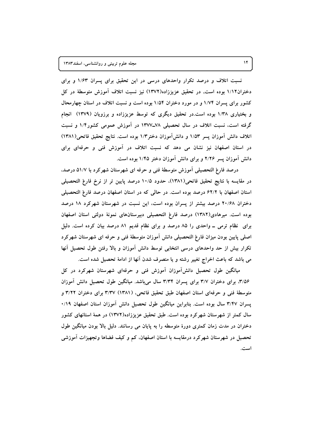نسبت اتلاف و درصد تکرار واحدهای درسی در این تحقیق برای پسران ۱/۶۳ و برای دختران۱/۱۲ بوده است, در تحقیق عزیززاده(۱۳۷۲) نیز نسبت اتلاف آموزش متوسطهٔ در کل کشور برای پسران ۱/۷۴ و در مورد دختران ۱/۵۴ بوده است و نسبت اتلاف در استان چهارمحال و بختیاری ۱/۳۸ بوده است.در تحقیق دیگری که توسط عزیززاده و برزویان (۱۳۷۹) انجام گرفته است، نسبت اتلاف در سال تحصیلی ۷۸ـ۱۳۷۷ در آموزش عمومی کشور۱/۴ و نسبت اتلاف دانش آموزان پسر ۱/۵۳ و دانشآموزان دختر۱/۳ بوده است. نتایج تحقیق فاتحی(۱۳۸۱) در استان اصفهان نیز نشان می دهد که نسبت اتلاف در آموزش فنی و حرفهای برای دانش آموزان پسر ۲/۲۶ و برای دانش آموزان دختر ۱/۴۵ بوده است.

درصد فارغ التحصيلي آموزش متوسطهٔ فني و حرفه اي شهرستان شهرکرد با ۵۱/۷ درصد، در مقايسه با نتايج تحقيق فاتحى(١٣٨١)، حدود ١٠/٥ درصد پايين تر از نرخ فارغ التحصيلي استان اصفهان با ۶۲/۲ درصد بوده است. در حالی که در استان اصفهان درصد فارغ التحصیلی دختران ۲۰/۶۸ درصد بیشتر از پسران بوده است، این نسبت در شهرستان شهرکرد ۱۸ درصد بوده است. میرهادی(۱۳۸۲) درصد فارغ التحصیلی دبیرستانهای نمونهٔ دولتی استان اصفهان برای نظام ترمی ـ واحدی را ۸۵ درصد و برای نظام قدیم ۸۱ درصد بیان کرده است. دلیل اصلی پایین بودن میزان فارغ التحصیلی دانش اَموزان متوسطهٔ فنی و حرفه ای شهرستان شهرکرد تکرار بیش از حد واحدهای درسی انتخابی توسط دانش آموزان و بالا رفتن طول تحصیل أنها می باشد که باعث اخراج تغییر رشته و یا منصرف شدن أنها از ادامهٔ تحصیل شده است.

میانگین طول تحصیل دانشآموزان آموزش فنی و حرفهای شهرستان شهرکرد در کل ۳/۵۶. برای دختران ۳/۷ برای پسران ۳/۳۴ سال میباشد. میانگین طول تحصیل دانش آموزان متوسطهٔ فنی و حرفهای استان اصفهان طبق تحقیق فاتحی، (۱۳۸۱) ۳/۳۷ برای دختران ۳/۲۲ و پسران ۳/۴۷ سال بوده است. بنابراین میانگین طول تحصیل دانش آموزان استان اصفهان ۰/۱۹ سال کمتر از شهرستان شهرکرد بوده است. طبق تحقیق عزیززاده(۱۳۷۲) در همهٔ استانهای کشور دختران در مدت زمان کمتری دورهٔ متوسطه را به پایان می رسانند. دلیل بالا بودن میانگین طول تحصیل در شهرستان شهرکرد درمقایسه با استان اصفهان، کم و کیف فضاها وتجهیزات آموزشی است.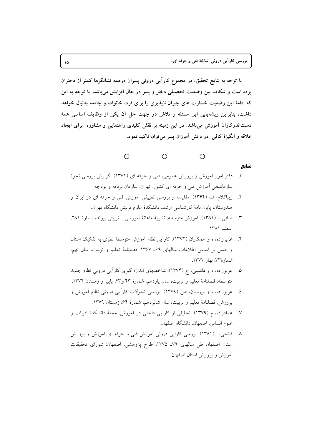با توجه به نتایج تحقیق، در مجموع کارآیی درونی پسران درهمه نشانگرها کمتر از دختران بوده است و شکاف بین وضعیت تحصیلی دختر و پسر در حال افزایش میباشد. با توجه به این که ادامهٔ این وضعیت خسارت های جبران ناپذیری را برای فرد، خانواده و جامعه بدنبال خواهد داشت، بنابراین ریشهیابی این مسئله و تلاش در جهت حل آن یکی از وظایف اساسی همهٔ دستاندرکاران آموزش میباشد. در این زمینه بر نقش کلیدی راهنمایی و مشاوره برای ایجاد علاقه و انگیزهٔ کافی در دانش آموزان پسر می توان تاکید نمود.



- منابع
- ۱. دفتر امور آموزش و پرورش عمومی، فنی و حرفه ای (۱۳۷۱). گزارش بررسی نحوهٔ سازماندهی آموزش فنی و حرفه ای کشور. تهران: سازمان برنامه و بودجه.
- ۲. زیباکلام، ف (۱۳۶۴). مقایسه و بررسی تطبیقی اَموزش فنی و حرفه ای در ایران و هندوستان، پایان نامهٔ کارشناسی ارشد. دانشکدهٔ علوم تربیتی دانشگاه تهران.
- صافی، ا (۱۳۸۱). آموزش متوسطه. نشریهٔ ماهانهٔ آموزشی ــ تربیتی پیوند، شمارهٔ ۲۸۱،  $\mathbf{r}$ اسفند ١٣٨١.
- ۴. عزیززاده، ه و همکاران (۱۳۷۲). کارایی نظام آموزش متوسطهٔ نظری به تفکیک استان و جنس پر اساس اطلاعات سالھای ۶۹ـ ۱۳۶۷. فصلنامهٔ تعلیم و تربیت، سال نهم، شمارهٔ ۳۳، بهار ۱۳۷۲.
- عزیززاده، ه و ماشینی، ج (۱۳۷۴). شاخصهای اندازه گیری کارآیی درونی نظام جدید  $\Delta$ متوسطه. فصلنامهٔ تعلیم و تربیت، سال یازدهم، شمارهٔ ۴۳ و۴۳، پاییز و زمستان ۱۳۷۴.
- ۶. عزیززاده، ه و برزویان، ص (۱۳۷۹). بررسی تحولات کاراًیی درونی نظام آموزش و پرورش. فصلنامهٔ تعلیم و تربیت، سال شانزدهم، شمارهٔ ۶۴، زمستان ۱۳۷۹.
- عمادزاده، م (١٣٧٩). تحليلي از كاراّي داخلي در آموزش. مجلّة دانشكدة ادبيات و  $\mathcal{N}$ علوم انساني. اصفهان. دانشگاه اصفهان.
- ۸ فاتحی، ا (۱۳۸۱). بررسی کارایی درونی آموزش فنی و حرفه ای آموزش و پرورش استان اصفهان طی سالهای ۷۹\_ ۱۳۷۵، طرح پژوهشی. اصفهان: شورای تحقیقات آموزش و یرورش استان اصفهان.